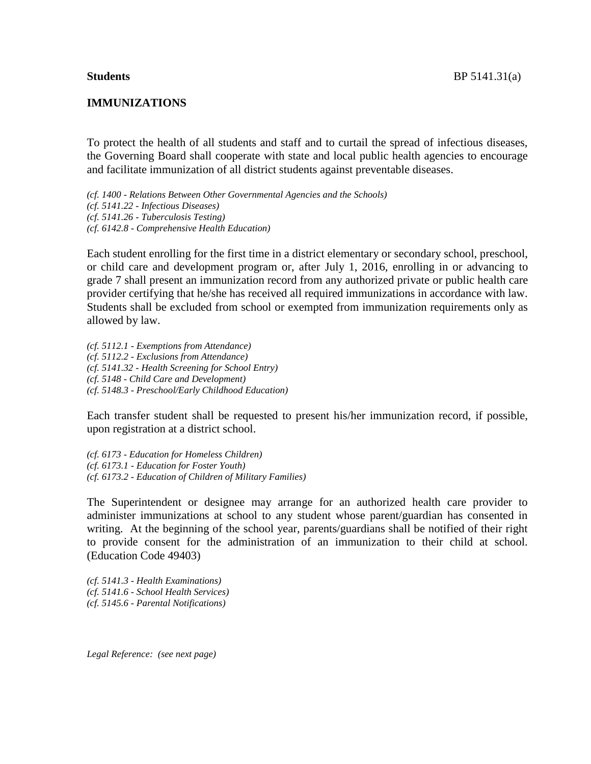#### **IMMUNIZATIONS**

To protect the health of all students and staff and to curtail the spread of infectious diseases, the Governing Board shall cooperate with state and local public health agencies to encourage and facilitate immunization of all district students against preventable diseases.

*(cf. 1400 - Relations Between Other Governmental Agencies and the Schools) (cf. 5141.22 - Infectious Diseases) (cf. 5141.26 - Tuberculosis Testing) (cf. 6142.8 - Comprehensive Health Education)*

Each student enrolling for the first time in a district elementary or secondary school, preschool, or child care and development program or, after July 1, 2016, enrolling in or advancing to grade 7 shall present an immunization record from any authorized private or public health care provider certifying that he/she has received all required immunizations in accordance with law. Students shall be excluded from school or exempted from immunization requirements only as allowed by law.

*(cf. 5112.1 - Exemptions from Attendance) (cf. 5112.2 - Exclusions from Attendance) (cf. 5141.32 - Health Screening for School Entry) (cf. 5148 - Child Care and Development) (cf. 5148.3 - Preschool/Early Childhood Education)*

Each transfer student shall be requested to present his/her immunization record, if possible, upon registration at a district school.

*(cf. 6173 - Education for Homeless Children) (cf. 6173.1 - Education for Foster Youth) (cf. 6173.2 - Education of Children of Military Families)*

The Superintendent or designee may arrange for an authorized health care provider to administer immunizations at school to any student whose parent/guardian has consented in writing. At the beginning of the school year, parents/guardians shall be notified of their right to provide consent for the administration of an immunization to their child at school. (Education Code 49403)

*(cf. 5141.3 - Health Examinations) (cf. 5141.6 - School Health Services) (cf. 5145.6 - Parental Notifications)*

*Legal Reference: (see next page)*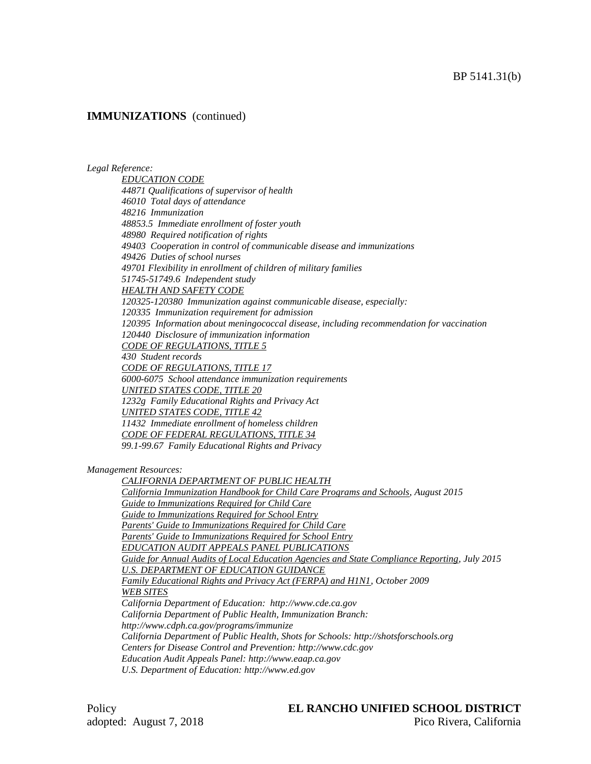#### *Legal Reference:*

*EDUCATION CODE 44871 Qualifications of supervisor of health 46010 Total days of attendance 48216 Immunization 48853.5 Immediate enrollment of foster youth 48980 Required notification of rights 49403 Cooperation in control of communicable disease and immunizations 49426 Duties of school nurses 49701 Flexibility in enrollment of children of military families 51745-51749.6 Independent study HEALTH AND SAFETY CODE 120325-120380 Immunization against communicable disease, especially: 120335 Immunization requirement for admission 120395 Information about meningococcal disease, including recommendation for vaccination 120440 Disclosure of immunization information CODE OF REGULATIONS, TITLE 5 430 Student records CODE OF REGULATIONS, TITLE 17 6000-6075 School attendance immunization requirements UNITED STATES CODE, TITLE 20 1232g Family Educational Rights and Privacy Act UNITED STATES CODE, TITLE 42 11432 Immediate enrollment of homeless children CODE OF FEDERAL REGULATIONS, TITLE 34*

*99.1-99.67 Family Educational Rights and Privacy*

*Management Resources:*

*CALIFORNIA DEPARTMENT OF PUBLIC HEALTH California Immunization Handbook for Child Care Programs and Schools, August 2015 Guide to Immunizations Required for Child Care Guide to Immunizations Required for School Entry Parents' Guide to Immunizations Required for Child Care Parents' Guide to Immunizations Required for School Entry EDUCATION AUDIT APPEALS PANEL PUBLICATIONS Guide for Annual Audits of Local Education Agencies and State Compliance Reporting, July 2015 U.S. DEPARTMENT OF EDUCATION GUIDANCE Family Educational Rights and Privacy Act (FERPA) and H1N1, October 2009 WEB SITES California Department of Education: http://www.cde.ca.gov California Department of Public Health, Immunization Branch: http://www.cdph.ca.gov/programs/immunize California Department of Public Health, Shots for Schools: http://shotsforschools.org Centers for Disease Control and Prevention: http://www.cdc.gov Education Audit Appeals Panel: http://www.eaap.ca.gov U.S. Department of Education: http://www.ed.gov*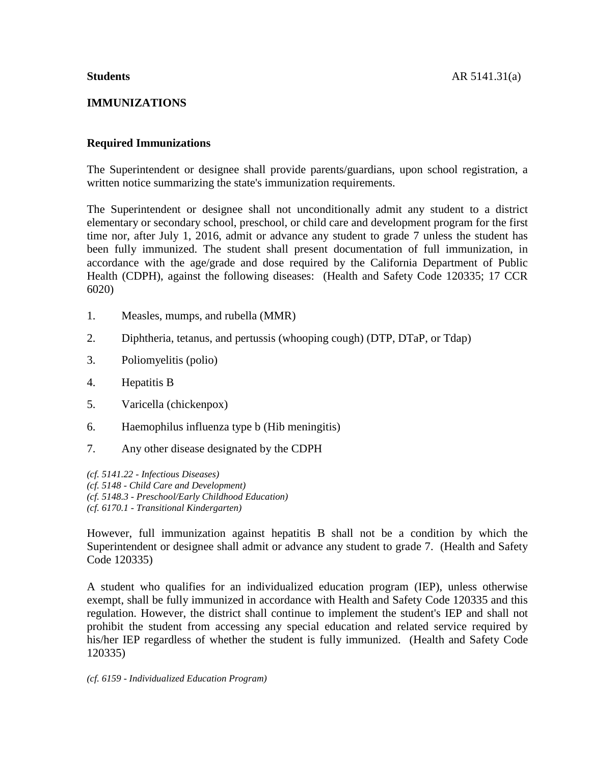# **IMMUNIZATIONS**

# **Required Immunizations**

The Superintendent or designee shall provide parents/guardians, upon school registration, a written notice summarizing the state's immunization requirements.

The Superintendent or designee shall not unconditionally admit any student to a district elementary or secondary school, preschool, or child care and development program for the first time nor, after July 1, 2016, admit or advance any student to grade 7 unless the student has been fully immunized. The student shall present documentation of full immunization, in accordance with the age/grade and dose required by the California Department of Public Health (CDPH), against the following diseases: (Health and Safety Code 120335; 17 CCR 6020)

- 1. Measles, mumps, and rubella (MMR)
- 2. Diphtheria, tetanus, and pertussis (whooping cough) (DTP, DTaP, or Tdap)
- 3. Poliomyelitis (polio)
- 4. Hepatitis B
- 5. Varicella (chickenpox)
- 6. Haemophilus influenza type b (Hib meningitis)
- 7. Any other disease designated by the CDPH

*(cf. 5141.22 - Infectious Diseases) (cf. 5148 - Child Care and Development) (cf. 5148.3 - Preschool/Early Childhood Education) (cf. 6170.1 - Transitional Kindergarten)*

However, full immunization against hepatitis B shall not be a condition by which the Superintendent or designee shall admit or advance any student to grade 7. (Health and Safety Code 120335)

A student who qualifies for an individualized education program (IEP), unless otherwise exempt, shall be fully immunized in accordance with Health and Safety Code 120335 and this regulation. However, the district shall continue to implement the student's IEP and shall not prohibit the student from accessing any special education and related service required by his/her IEP regardless of whether the student is fully immunized. (Health and Safety Code 120335)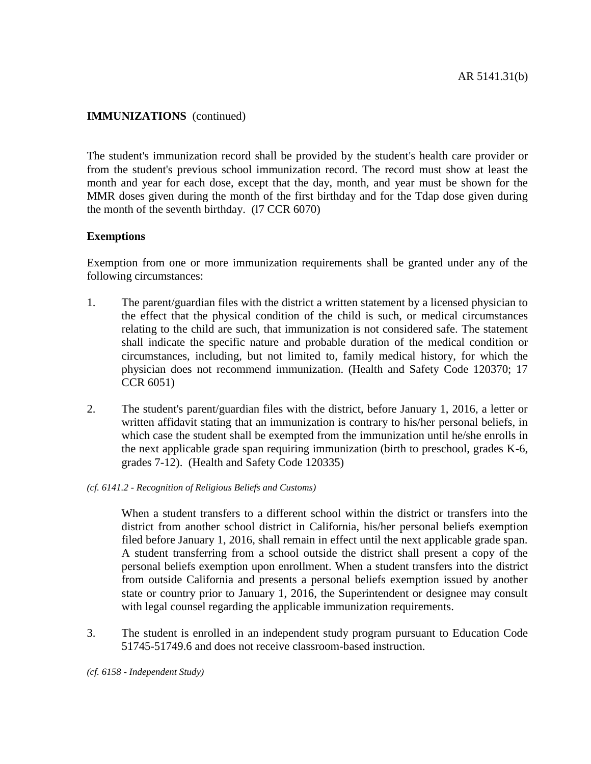The student's immunization record shall be provided by the student's health care provider or from the student's previous school immunization record. The record must show at least the month and year for each dose, except that the day, month, and year must be shown for the MMR doses given during the month of the first birthday and for the Tdap dose given during the month of the seventh birthday. (l7 CCR 6070)

## **Exemptions**

Exemption from one or more immunization requirements shall be granted under any of the following circumstances:

- 1. The parent/guardian files with the district a written statement by a licensed physician to the effect that the physical condition of the child is such, or medical circumstances relating to the child are such, that immunization is not considered safe. The statement shall indicate the specific nature and probable duration of the medical condition or circumstances, including, but not limited to, family medical history, for which the physician does not recommend immunization. (Health and Safety Code 120370; 17 CCR 6051)
- 2. The student's parent/guardian files with the district, before January 1, 2016, a letter or written affidavit stating that an immunization is contrary to his/her personal beliefs, in which case the student shall be exempted from the immunization until he/she enrolls in the next applicable grade span requiring immunization (birth to preschool, grades K-6, grades 7-12). (Health and Safety Code 120335)
- *(cf. 6141.2 - Recognition of Religious Beliefs and Customs)*

When a student transfers to a different school within the district or transfers into the district from another school district in California, his/her personal beliefs exemption filed before January 1, 2016, shall remain in effect until the next applicable grade span. A student transferring from a school outside the district shall present a copy of the personal beliefs exemption upon enrollment. When a student transfers into the district from outside California and presents a personal beliefs exemption issued by another state or country prior to January 1, 2016, the Superintendent or designee may consult with legal counsel regarding the applicable immunization requirements.

3. The student is enrolled in an independent study program pursuant to Education Code 51745-51749.6 and does not receive classroom-based instruction.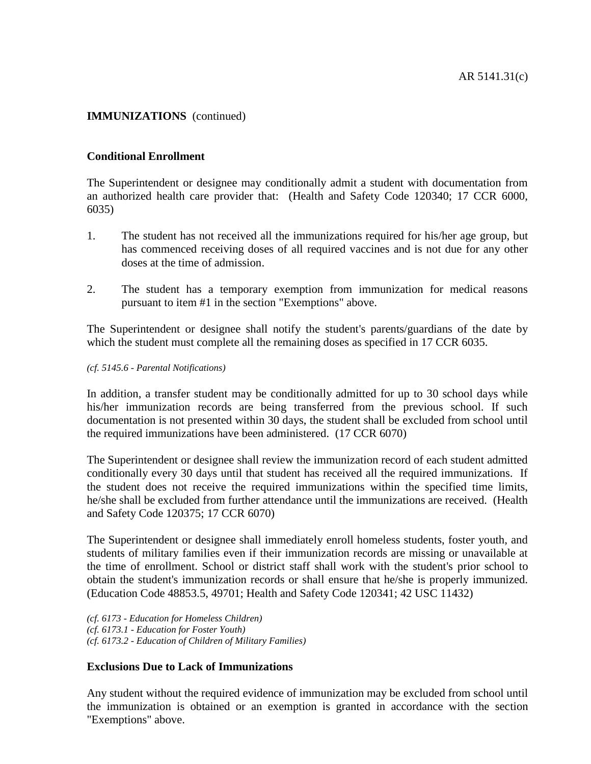# **Conditional Enrollment**

The Superintendent or designee may conditionally admit a student with documentation from an authorized health care provider that: (Health and Safety Code 120340; 17 CCR 6000, 6035)

- 1. The student has not received all the immunizations required for his/her age group, but has commenced receiving doses of all required vaccines and is not due for any other doses at the time of admission.
- 2. The student has a temporary exemption from immunization for medical reasons pursuant to item #1 in the section "Exemptions" above.

The Superintendent or designee shall notify the student's parents/guardians of the date by which the student must complete all the remaining doses as specified in 17 CCR 6035.

*(cf. 5145.6 - Parental Notifications)*

In addition, a transfer student may be conditionally admitted for up to 30 school days while his/her immunization records are being transferred from the previous school. If such documentation is not presented within 30 days, the student shall be excluded from school until the required immunizations have been administered. (17 CCR 6070)

The Superintendent or designee shall review the immunization record of each student admitted conditionally every 30 days until that student has received all the required immunizations. If the student does not receive the required immunizations within the specified time limits, he/she shall be excluded from further attendance until the immunizations are received. (Health and Safety Code 120375; 17 CCR 6070)

The Superintendent or designee shall immediately enroll homeless students, foster youth, and students of military families even if their immunization records are missing or unavailable at the time of enrollment. School or district staff shall work with the student's prior school to obtain the student's immunization records or shall ensure that he/she is properly immunized. (Education Code 48853.5, 49701; Health and Safety Code 120341; 42 USC 11432)

*(cf. 6173 - Education for Homeless Children) (cf. 6173.1 - Education for Foster Youth) (cf. 6173.2 - Education of Children of Military Families)*

# **Exclusions Due to Lack of Immunizations**

Any student without the required evidence of immunization may be excluded from school until the immunization is obtained or an exemption is granted in accordance with the section "Exemptions" above.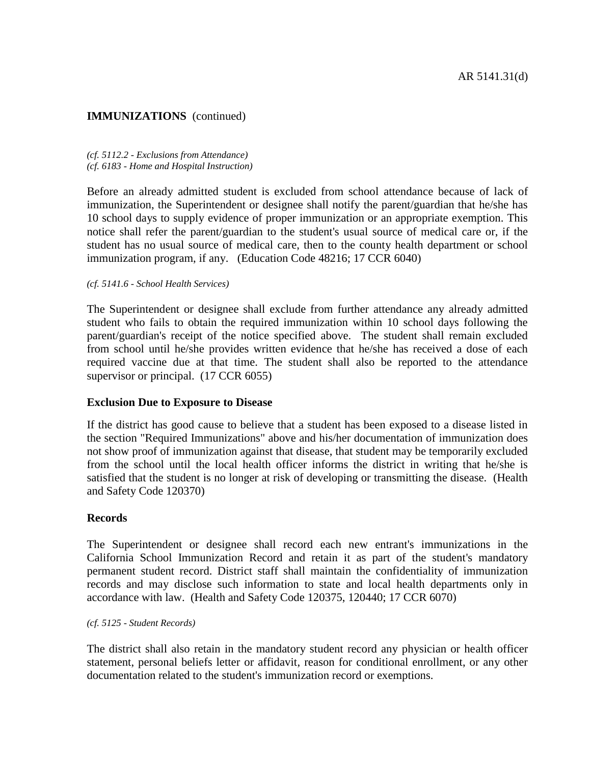*(cf. 5112.2 - Exclusions from Attendance) (cf. 6183 - Home and Hospital Instruction)*

Before an already admitted student is excluded from school attendance because of lack of immunization, the Superintendent or designee shall notify the parent/guardian that he/she has 10 school days to supply evidence of proper immunization or an appropriate exemption. This notice shall refer the parent/guardian to the student's usual source of medical care or, if the student has no usual source of medical care, then to the county health department or school immunization program, if any. (Education Code 48216; 17 CCR 6040)

*(cf. 5141.6 - School Health Services)*

The Superintendent or designee shall exclude from further attendance any already admitted student who fails to obtain the required immunization within 10 school days following the parent/guardian's receipt of the notice specified above. The student shall remain excluded from school until he/she provides written evidence that he/she has received a dose of each required vaccine due at that time. The student shall also be reported to the attendance supervisor or principal. (17 CCR 6055)

#### **Exclusion Due to Exposure to Disease**

If the district has good cause to believe that a student has been exposed to a disease listed in the section "Required Immunizations" above and his/her documentation of immunization does not show proof of immunization against that disease, that student may be temporarily excluded from the school until the local health officer informs the district in writing that he/she is satisfied that the student is no longer at risk of developing or transmitting the disease. (Health and Safety Code 120370)

#### **Records**

The Superintendent or designee shall record each new entrant's immunizations in the California School Immunization Record and retain it as part of the student's mandatory permanent student record. District staff shall maintain the confidentiality of immunization records and may disclose such information to state and local health departments only in accordance with law. (Health and Safety Code 120375, 120440; 17 CCR 6070)

*(cf. 5125 - Student Records)*

The district shall also retain in the mandatory student record any physician or health officer statement, personal beliefs letter or affidavit, reason for conditional enrollment, or any other documentation related to the student's immunization record or exemptions.